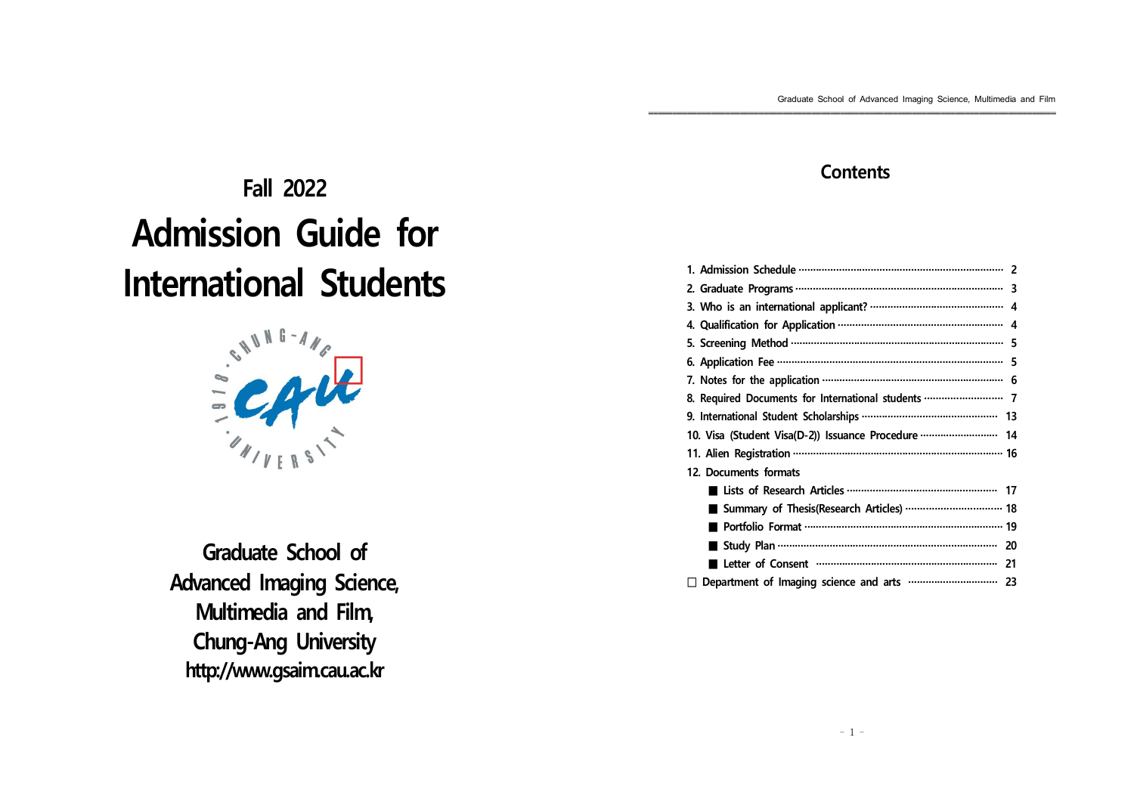# **Fall 2022 Admission Guide for International Students**



**Graduate School of Advanced Imaging Science, Multimedia and Film, Chung-Ang University http://www.gsaim.cau.ac.kr**

# **Contents**

| 8. Required Documents for International students …………………………… 7 |  |
|----------------------------------------------------------------|--|
|                                                                |  |
| 10. Visa (Student Visa(D-2)) Issuance Procedure  14            |  |
|                                                                |  |
| 12. Documents formats                                          |  |
|                                                                |  |
| Summary of Thesis(Research Articles)  18                       |  |
|                                                                |  |
|                                                                |  |
|                                                                |  |
| Ħ                                                              |  |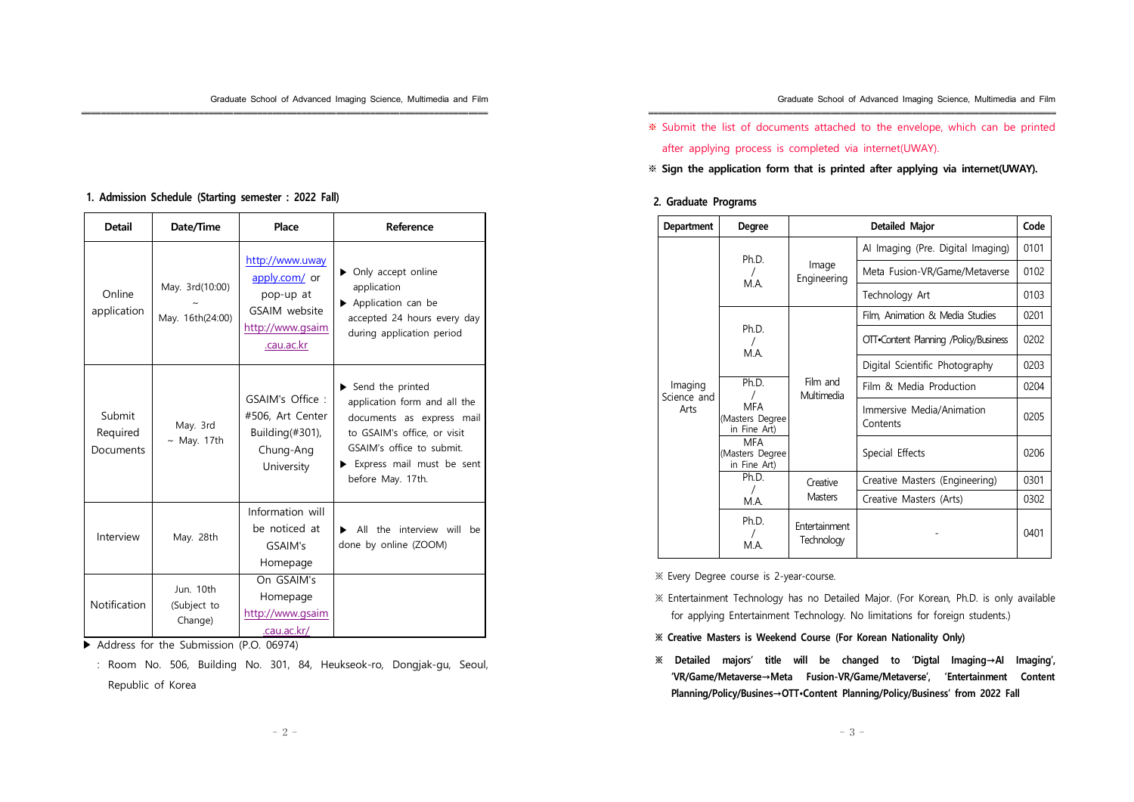※ Submit the list of documents attached to the envelope, which can be printed after applying process is completed via internet(UWAY).

※ **Sign the application form that is printed after applying via internet(UWAY).**

### **2. Graduate Programs**

| <b>Department</b>   | Degree                                                                                                                      | Detailed Major<br>Code             |                                       |      |
|---------------------|-----------------------------------------------------------------------------------------------------------------------------|------------------------------------|---------------------------------------|------|
|                     | Ph.D.                                                                                                                       | Image<br>Engineering               | Al Imaging (Pre. Digital Imaging)     | 0101 |
|                     |                                                                                                                             |                                    | Meta Fusion-VR/Game/Metaverse         | 0102 |
|                     | M.A.                                                                                                                        |                                    | Technology Art                        | 0103 |
|                     |                                                                                                                             |                                    | Film, Animation & Media Studies       | 0201 |
|                     | Ph.D.<br>M.A.                                                                                                               |                                    | OTT.Content Planning /Policy/Business | 0202 |
|                     |                                                                                                                             |                                    | Digital Scientific Photography        | 0203 |
| Imaging             | Ph.D.<br>Ι                                                                                                                  | Film and<br>Multimedia             | Film & Media Production               | 0204 |
| Science and<br>Arts | <b>MFA</b><br>(Masters Degree<br>in Fine Art)<br><b>MFA</b><br>(Masters Degree<br>in Fine Art)<br>Ph.D.<br>$\prime$<br>M.A. |                                    | Immersive Media/Animation<br>Contents | 0205 |
|                     |                                                                                                                             |                                    | Special Effects                       | 0206 |
|                     |                                                                                                                             | Creative<br><b>Masters</b>         | Creative Masters (Engineering)        | 0301 |
|                     |                                                                                                                             |                                    | Creative Masters (Arts)               | 0302 |
|                     | Ph.D.<br>M.A.                                                                                                               | Entertainment<br><b>Technology</b> |                                       | 0401 |

※ Every Degree course is 2-year-course.

- ※ Entertainment Technology has no Detailed Major. (For Korean, Ph.D. is only available for applying Entertainment Technology. No limitations for foreign students.)
- **※ Creative Masters is Weekend Course (For Korean Nationality Only)**
- **※ Detailed majors' title will be changed to 'Digtal Imaging→AI Imaging', 'VR/Game/Metaverse→Meta Fusion-VR/Game/Metaverse', 'Entertainment Content Planning/Policy/Busines→OTT•Content Planning/Policy/Business' from 2022 Fall**

### **1. Admission Schedule (Starting semester : 2022 Fall)**

| <b>Detail</b><br>Date/Time      |                                     | Place                                                                                            | Reference                                                                                                                                                                                                         |
|---------------------------------|-------------------------------------|--------------------------------------------------------------------------------------------------|-------------------------------------------------------------------------------------------------------------------------------------------------------------------------------------------------------------------|
| Online<br>application           | May. 3rd(10:00)<br>May. 16th(24:00) | http://www.uway<br>apply.com/ or<br>pop-up at<br>GSAIM website<br>http://www.gsaim<br>.cau.ac.kr | $\triangleright$ Only accept online<br>application<br>Application can be<br>accepted 24 hours every day<br>during application period                                                                              |
| Submit<br>Required<br>Documents | May. 3rd<br>$\sim$ May. 17th        | GSAIM's Office:<br>#506, Art Center<br>Building $(\#301)$ ,<br>Chung-Ang<br>University           | $\blacktriangleright$ Send the printed<br>application form and all the<br>documents as express mail<br>to GSAIM's office, or visit<br>GSAIM's office to submit.<br>Express mail must be sent<br>before May. 17th. |
| Interview                       | May. 28th                           | Information will<br>be noticed at<br>GSAIM's<br>Homepage                                         | All the interview will<br>be<br>done by online (ZOOM)                                                                                                                                                             |
| Notification                    | Jun. 10th<br>(Subject to<br>Change) | On GSAIM's<br>Homepage<br>http://www.gsaim<br>.cau.ac.kr/                                        |                                                                                                                                                                                                                   |

▶ Address for the Submission (P.O. 06974)

: Room No. 506, Building No. 301, 84, Heukseok-ro, Dongjak-gu, Seoul, Republic of Korea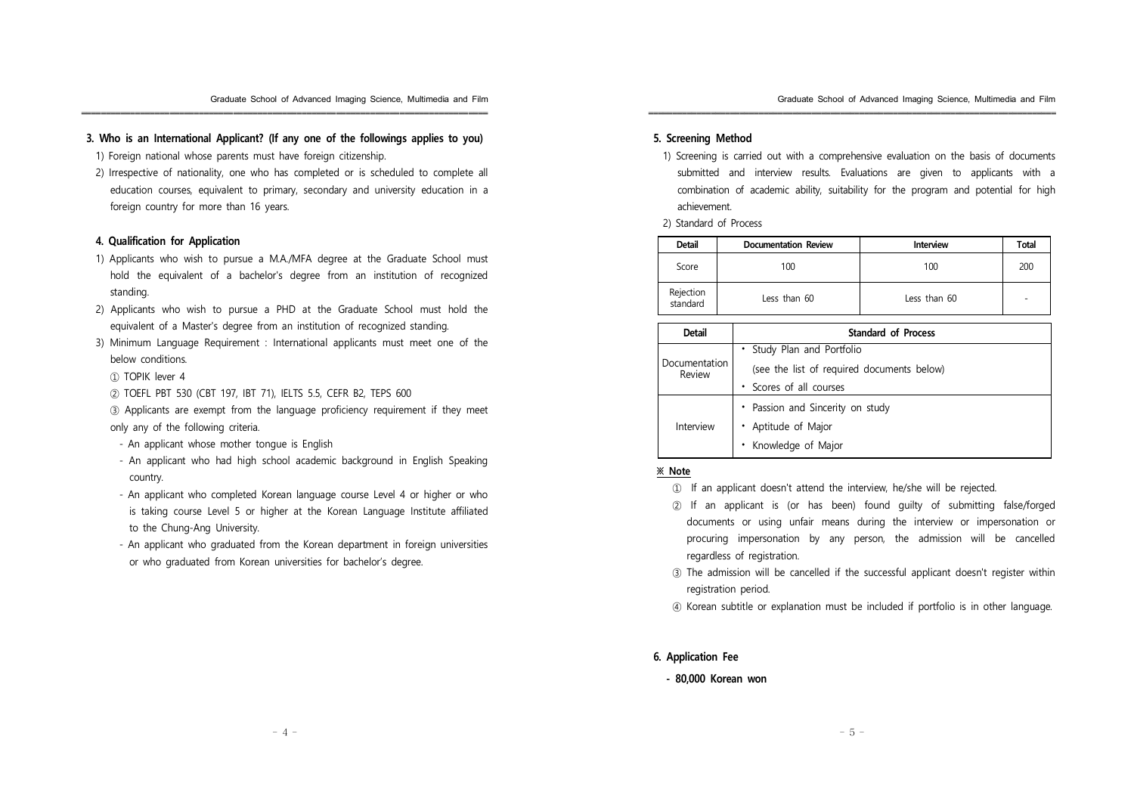### **3. Who is an International Applicant? (If any one of the followings applies to you)**

- 1) Foreign national whose parents must have foreign citizenship.
- 2) Irrespective of nationality, one who has completed or is scheduled to complete all education courses, equivalent to primary, secondary and university education in a foreign country for more than 16 years.

### **4. Qualification for Application**

- 1) Applicants who wish to pursue a M.A./MFA degree at the Graduate School must hold the equivalent of a bachelor's degree from an institution of recognized standing.
- 2) Applicants who wish to pursue a PHD at the Graduate School must hold the equivalent of a Master's degree from an institution of recognized standing.
- 3) Minimum Language Requirement : International applicants must meet one of the below conditions.
	- ① TOPIK lever 4
	- ② TOEFL PBT 530 (CBT 197, IBT 71), IELTS 5.5, CEFR B2, TEPS 600

③ Applicants are exempt from the language proficiency requirement if they meet only any of the following criteria.

- An applicant whose mother tongue is English
- An applicant who had high school academic background in English Speaking country.
- An applicant who completed Korean language course Level 4 or higher or who is taking course Level 5 or higher at the Korean Language Institute affiliated to the Chung-Ang University.
- An applicant who graduated from the Korean department in foreign universities or who graduated from Korean universities for bachelor's degree.

### **5. Screening Method**

1) Screening is carried out with a comprehensive evaluation on the basis of documents submitted and interview results. Evaluations are given to applicants with a combination of academic ability, suitability for the program and potential for high achievement.

2) Standard of Process

| <b>Detail</b>                         | <b>Documentation Review</b> | Interview    | Total |
|---------------------------------------|-----------------------------|--------------|-------|
| 100<br>Score                          |                             | 100          | 200   |
| Rejection<br>standard<br>Less than 60 |                             | Less than 60 |       |

| <b>Detail</b>           | <b>Standard of Process</b>                 |  |  |  |
|-------------------------|--------------------------------------------|--|--|--|
| Documentation<br>Review | • Study Plan and Portfolio                 |  |  |  |
|                         | (see the list of required documents below) |  |  |  |
|                         | • Scores of all courses                    |  |  |  |
| Interview               | • Passion and Sincerity on study           |  |  |  |
|                         | • Aptitude of Major                        |  |  |  |
|                         | Knowledge of Major                         |  |  |  |

### **※ Note**

- ① If an applicant doesn't attend the interview, he/she will be rejected.
- ② If an applicant is (or has been) found guilty of submitting false/forged documents or using unfair means during the interview or impersonation or procuring impersonation by any person, the admission will be cancelled regardless of registration.
- ③ The admission will be cancelled if the successful applicant doesn't register within registration period.
- ④ Korean subtitle or explanation must be included if portfolio is in other language.

### **6. Application Fee**

**- 80,000 Korean won**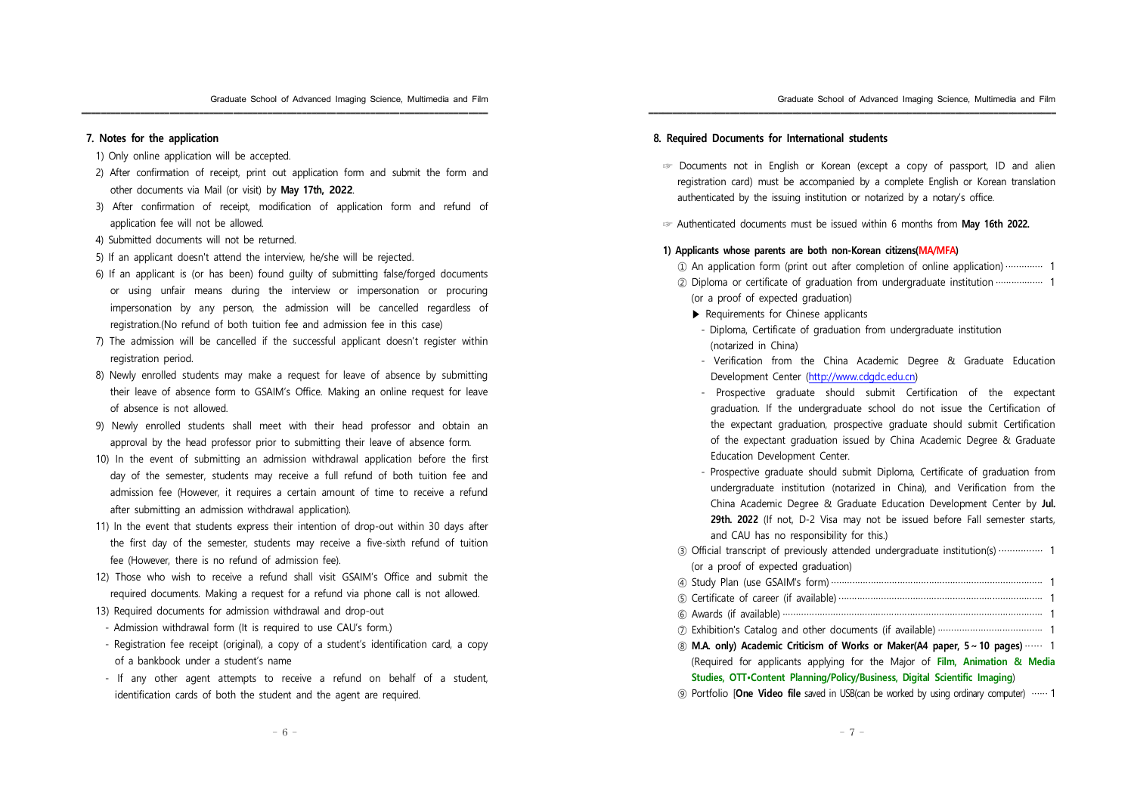### **7. Notes for the application**

- 1) Only online application will be accepted.
- 2) After confirmation of receipt, print out application form and submit the form and other documents via Mail (or visit) by **May 17th, 2022**.

- 3) After confirmation of receipt, modification of application form and refund of application fee will not be allowed.
- 4) Submitted documents will not be returned.
- 5) If an applicant doesn't attend the interview, he/she will be rejected.
- 6) If an applicant is (or has been) found guilty of submitting false/forged documents or using unfair means during the interview or impersonation or procuring impersonation by any person, the admission will be cancelled regardless of registration.(No refund of both tuition fee and admission fee in this case)
- 7) The admission will be cancelled if the successful applicant doesn't register within registration period.
- 8) Newly enrolled students may make a request for leave of absence by submitting their leave of absence form to GSAIM's Office. Making an online request for leave of absence is not allowed.
- 9) Newly enrolled students shall meet with their head professor and obtain an approval by the head professor prior to submitting their leave of absence form.
- 10) In the event of submitting an admission withdrawal application before the first day of the semester, students may receive a full refund of both tuition fee and admission fee (However, it requires a certain amount of time to receive a refund after submitting an admission withdrawal application).
- 11) In the event that students express their intention of drop-out within 30 days after the first day of the semester, students may receive a five-sixth refund of tuition fee (However, there is no refund of admission fee).
- 12) Those who wish to receive a refund shall visit GSAIM's Office and submit the required documents. Making a request for a refund via phone call is not allowed.
- 13) Required documents for admission withdrawal and drop-out
- Admission withdrawal form (It is required to use CAU's form.)
- Registration fee receipt (original), a copy of a student's identification card, a copy of a bankbook under a student's name
- If any other agent attempts to receive a refund on behalf of a student, identification cards of both the student and the agent are required.

### **8. Required Documents for International students**

☞ Documents not in English or Korean (except a copy of passport, ID and alien registration card) must be accompanied by a complete English or Korean translation authenticated by the issuing institution or notarized by a notary's office.

☞ Authenticated documents must be issued within 6 months from **May 16th 2022.**

### **1) Applicants whose parents are both non-Korean citizens(MA/MFA)**

- ① An application form (print out after completion of online application) ·············· 1
- ② Diploma or certificate of graduation from undergraduate institution ·················· 1 (or a proof of expected graduation)
	- ▶ Requirements for Chinese applicants
	- Diploma, Certificate of graduation from undergraduate institution (notarized in China)
	- Verification from the China Academic Degree & Graduate Education Development Center (http://www.cdgdc.edu.cn)
	- Prospective graduate should submit Certification of the expectant graduation. If the undergraduate school do not issue the Certification of the expectant graduation, prospective graduate should submit Certification of the expectant graduation issued by China Academic Degree & Graduate Education Development Center.
	- Prospective graduate should submit Diploma, Certificate of graduation from undergraduate institution (notarized in China), and Verification from the China Academic Degree & Graduate Education Development Center by **Jul. 29th. 2022** (If not, D-2 Visa may not be issued before Fall semester starts, and CAU has no responsibility for this.)
- ③ Official transcript of previously attended undergraduate institution(s) ················ 1 (or a proof of expected graduation)
- ④ Study Plan (use GSAIM's form) ················································································ 1
- ⑤ Certificate of career (if available) ············································································· 1
- ⑥ Awards (if available) ·································································································· 1
- ⑦ Exhibition's Catalog and other documents (if available) ······································· 1
- ⑧ **M.A. only) Academic Criticism of Works or Maker(A4 paper, 5~10 pages)** ·· ··· · 1 (Required for applicants applying for the Major of **Film, Animation & Media Studies, OTT•Content Planning/Policy/Business, Digital Scientific Imaging**)
- ⑨ Portfolio [**One Video file** saved in USB(can be worked by using ordinary computer) ······ 1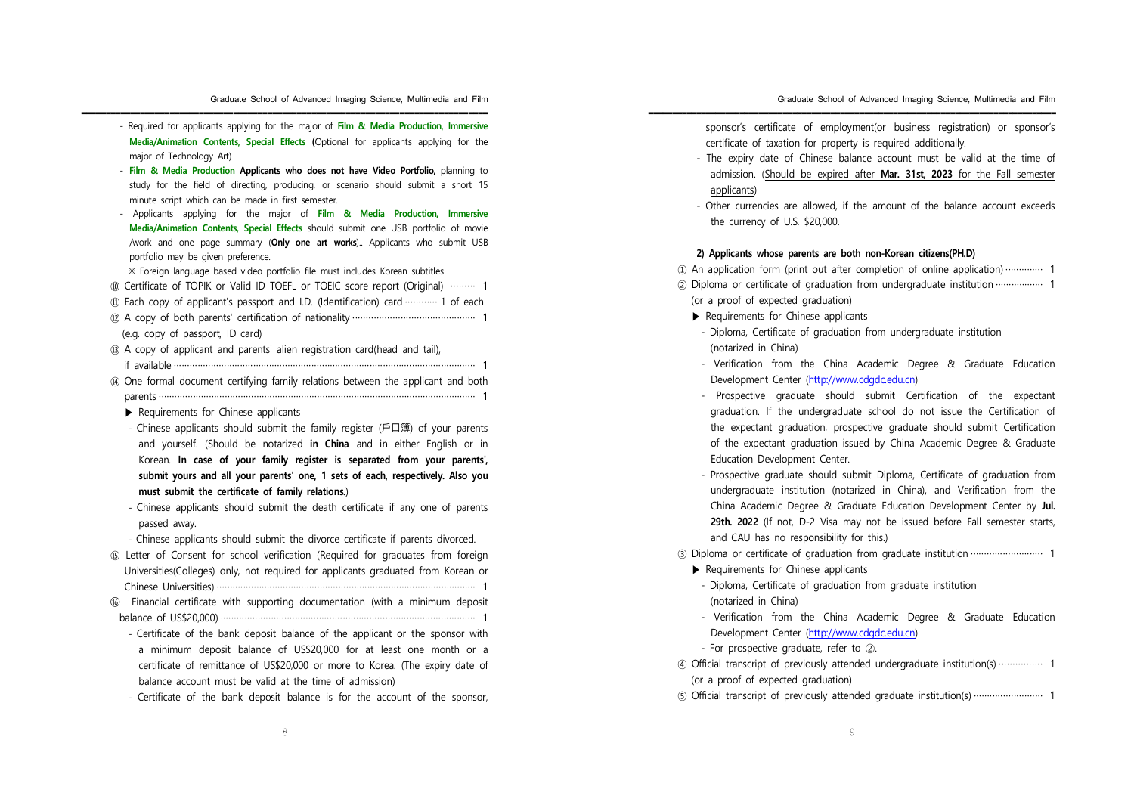- Required for applicants applying for the major of **Film & Media Production, Immersive Media/Animation Contents, Special Effects (**Optional for applicants applying for the major of Technology Art)

- **Film & Media Production Applicants who does not have Video Portfolio,** planning to study for the field of directing, producing, or scenario should submit a short 15 minute script which can be made in first semester.
- Applicants applying for the major of **Film & Media Production, Immersive Media/Animation Contents, Special Effects** should submit one USB portfolio of movie /work and one page summary (**Only one art works**).. Applicants who submit USB portfolio may be given preference.

※ Foreign language based video portfolio file must includes Korean subtitles.

- ⑩ Certificate of TOPIK or Valid ID TOEFL or TOEIC score report (Original) ········· 1
- ⑪ Each copy of applicant's passport and I.D. (Identification) card ············ 1 of each
- ⑫ A copy of both parents' certification of nationality ·············································· 1 (e.g. copy of passport, ID card)
- ⑬ A copy of applicant and parents' alien registration card(head and tail), if available ·················································································································· 1
- ⑭ One formal document certifying family relations between the applicant and both parents ························································································································ 1
	- ▶ Requirements for Chinese applicants
	- Chinese applicants should submit the family register (戶口簿) of your parents and yourself. (Should be notarized **in China** and in either English or in Korean. **In case of your family register is separated from your parents', submit yours and all your parents' one, 1 sets of each, respectively. Also you must submit the certificate of family relations.**)
	- Chinese applicants should submit the death certificate if any one of parents passed away.
	- Chinese applicants should submit the divorce certificate if parents divorced.
- ⑮ Letter of Consent for school verification (Required for graduates from foreign Universities(Colleges) only, not required for applicants graduated from Korean or Chinese Universities) ·································································································· 1
- ⑯ Financial certificate with supporting documentation (with a minimum deposit balance of US\$20,000) ································································································ 1
	- Certificate of the bank deposit balance of the applicant or the sponsor with a minimum deposit balance of US\$20,000 for at least one month or a certificate of remittance of US\$20,000 or more to Korea. (The expiry date of balance account must be valid at the time of admission)
	- Certificate of the bank deposit balance is for the account of the sponsor,

sponsor's certificate of employment(or business registration) or sponsor's certificate of taxation for property is required additionally.

- The expiry date of Chinese balance account must be valid at the time of admission. (Should be expired after **Mar. 31st, 2023** for the Fall semester applicants)
- Other currencies are allowed, if the amount of the balance account exceeds the currency of U.S. \$20,000.

#### **2) Applicants whose parents are both non-Korean citizens(PH.D)**

① An application form (print out after completion of online application) ·············· 1

- ② Diploma or certificate of graduation from undergraduate institution ·················· 1 (or a proof of expected graduation)
	- ▶ Requirements for Chinese applicants
	- Diploma, Certificate of graduation from undergraduate institution (notarized in China)
	- Verification from the China Academic Degree & Graduate Education Development Center (http://www.cdgdc.edu.cn)
	- Prospective graduate should submit Certification of the expectant graduation. If the undergraduate school do not issue the Certification of the expectant graduation, prospective graduate should submit Certification of the expectant graduation issued by China Academic Degree & Graduate Education Development Center.
	- Prospective graduate should submit Diploma, Certificate of graduation from undergraduate institution (notarized in China), and Verification from the China Academic Degree & Graduate Education Development Center by **Jul. 29th. 2022** (If not, D-2 Visa may not be issued before Fall semester starts, and CAU has no responsibility for this.)
- ③ Diploma or certificate of graduation from graduate institution ··························· 1
	- ▶ Requirements for Chinese applicants
	- Diploma, Certificate of graduation from graduate institution (notarized in China)
	- Verification from the China Academic Degree & Graduate Education Development Center (http://www.cdgdc.edu.cn)
	- For prospective graduate, refer to ②.
- ④ Official transcript of previously attended undergraduate institution(s) ················ 1 (or a proof of expected graduation)
- ⑤ Official transcript of previously attended graduate institution(s) ·························· 1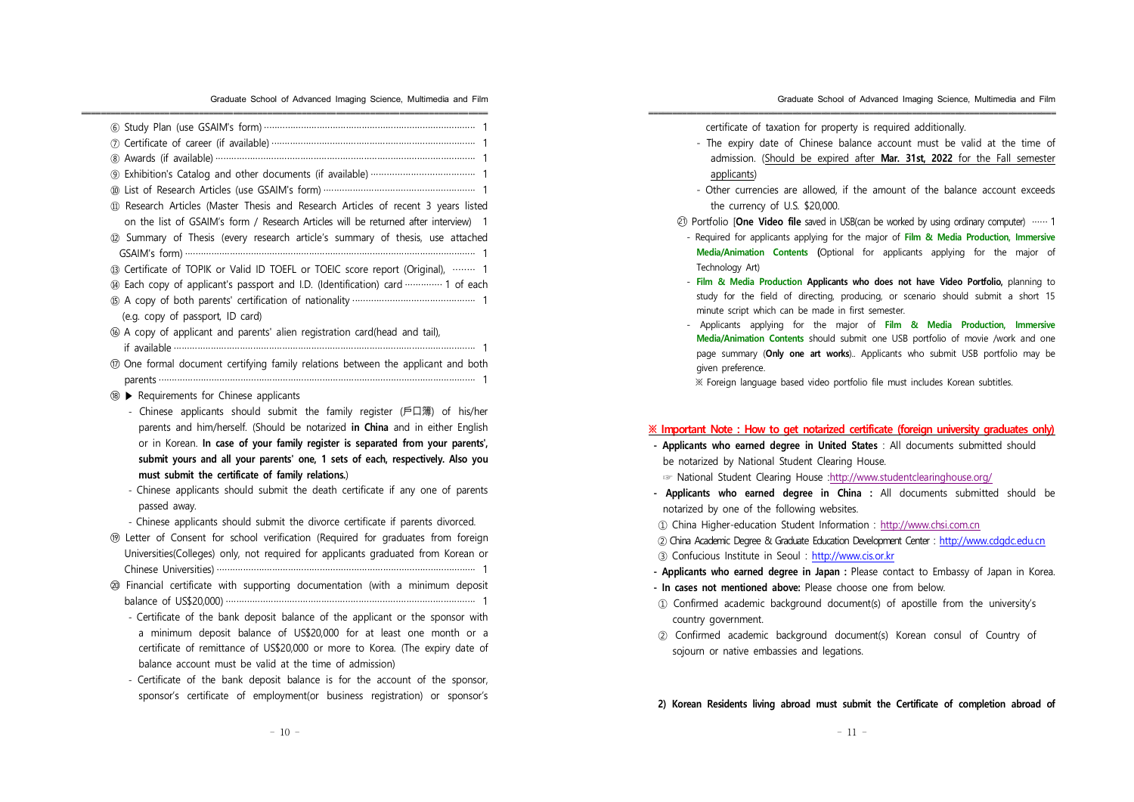| 11) Research Articles (Master Thesis and Research Articles of recent 3 years listed<br>on the list of GSAIM's form / Research Articles will be returned after interview) 1<br>12 Summary of Thesis (every research article's summary of thesis, use attached                                      |
|---------------------------------------------------------------------------------------------------------------------------------------------------------------------------------------------------------------------------------------------------------------------------------------------------|
|                                                                                                                                                                                                                                                                                                   |
| ® Certificate of TOPIK or Valid ID TOEFL or TOEIC score report (Original),  1                                                                                                                                                                                                                     |
| 49 Each copy of applicant's passport and I.D. (Identification) card …………… 1 of each                                                                                                                                                                                                               |
| (e.g. copy of passport, ID card)                                                                                                                                                                                                                                                                  |
| 66 A copy of applicant and parents' alien registration card(head and tail),                                                                                                                                                                                                                       |
|                                                                                                                                                                                                                                                                                                   |
| <b>10</b> One formal document certifying family relations between the applicant and both                                                                                                                                                                                                          |
|                                                                                                                                                                                                                                                                                                   |
| <b>® ▶ Requirements for Chinese applicants</b>                                                                                                                                                                                                                                                    |
| - Chinese applicants should submit the family register (戶口簿) of his/her<br>parents and him/herself. (Should be notarized in China and in either English                                                                                                                                           |
| or in Korean. In case of your family register is separated from your parents',                                                                                                                                                                                                                    |
| submit yours and all your parents' one, 1 sets of each, respectively. Also you                                                                                                                                                                                                                    |
| must submit the certificate of family relations.)                                                                                                                                                                                                                                                 |
| - Chinese applicants should submit the death certificate if any one of parents<br>passed away.                                                                                                                                                                                                    |
| - Chinese applicants should submit the divorce certificate if parents divorced.                                                                                                                                                                                                                   |
| <b>®</b> Letter of Consent for school verification (Required for graduates from foreign                                                                                                                                                                                                           |
| Universities(Colleges) only, not required for applicants graduated from Korean or                                                                                                                                                                                                                 |
|                                                                                                                                                                                                                                                                                                   |
| @ Financial certificate with supporting documentation (with a minimum deposit                                                                                                                                                                                                                     |
|                                                                                                                                                                                                                                                                                                   |
| - Certificate of the bank deposit balance of the applicant or the sponsor with<br>a minimum deposit balance of US\$20,000 for at least one month or a<br>certificate of remittance of US\$20,000 or more to Korea. (The expiry date of<br>balance account must be valid at the time of admission) |
| - Certificate of the bank deposit balance is for the account of the sponsor,                                                                                                                                                                                                                      |
| sponsor's certificate of employment(or business registration) or sponsor's                                                                                                                                                                                                                        |

Graduate School of Advanced Imaging Science, Multimedia and Film

certificate of taxation for property is required additionally.

- The expiry date of Chinese balance account must be valid at the time of admission. (Should be expired after **Mar. 31st, 2022** for the Fall semester applicants)
- Other currencies are allowed, if the amount of the balance account exceeds the currency of U.S. \$20,000.
- ◯21 Portfolio [**One Video file** saved in USB(can be worked by using ordinary computer) ······ 1
- Required for applicants applying for the major of **Film & Media Production, Immersive Media/Animation Contents (**Optional for applicants applying for the major of Technology Art)
- **Film & Media Production Applicants who does not have Video Portfolio,** planning to study for the field of directing, producing, or scenario should submit a short 15 minute script which can be made in first semester.
- Applicants applying for the major of **Film & Media Production, Immersive Media/Animation Contents** should submit one USB portfolio of movie /work and one page summary (**Only one art works**).. Applicants who submit USB portfolio may be given preference.

※ Foreign language based video portfolio file must includes Korean subtitles.

### **※ Important Note : How to get notarized certificate (foreign university graduates only)**

- **- Applicants who earned degree in United States** : All documents submitted should be notarized by National Student Clearing House.
	- ☞ National Student Clearing House :http://www.studentclearinghouse.org/
- **- Applicants who earned degree in China :** All documents submitted should be notarized by one of the following websites.
- ① China Higher-education Student Information : http://www.chsi.com.cn
- ② China Academic Degree & Graduate Education Development Center : http://www.cdgdc.edu.cn
- ③ Confucious Institute in Seoul : http://www.cis.or.kr
- **- Applicants who earned degree in Japan :** Please contact to Embassy of Japan in Korea.
- **- In cases not mentioned above:** Please choose one from below.
- ① Confirmed academic background document(s) of apostille from the university's country government.
- ② Confirmed academic background document(s) Korean consul of Country of sojourn or native embassies and legations.

**2) Korean Residents living abroad must submit the Certificate of completion abroad of**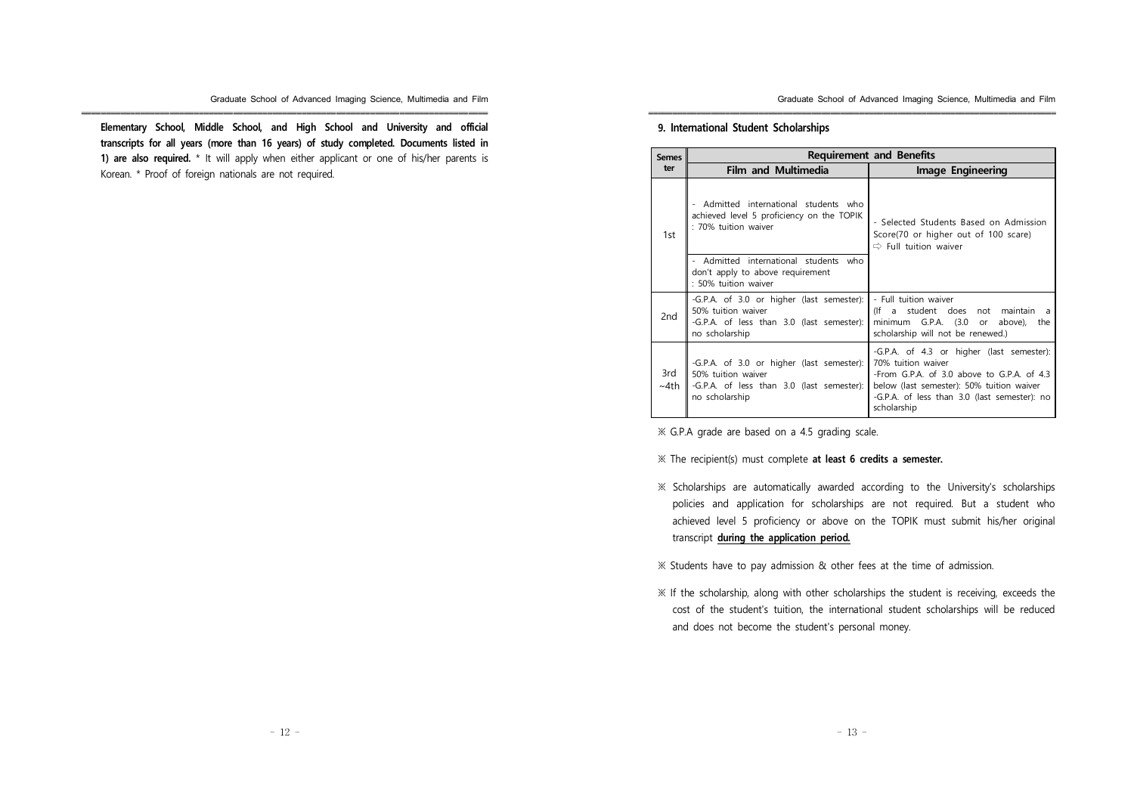**Elementary School, Middle School, and High School and University and official transcripts for all years (more than 16 years) of study completed. Documents listed in 1) are also required.** \* It will apply when either applicant or one of his/her parents is Korean. \* Proof of foreign nationals are not required.

Graduate School of Advanced Imaging Science, Multimedia and Film

### **9. International Student Scholarships**

| <b>Semes</b>       | <b>Requirement and Benefits</b>                                                                                                |                                                                                                                                                                                                                           |  |  |  |
|--------------------|--------------------------------------------------------------------------------------------------------------------------------|---------------------------------------------------------------------------------------------------------------------------------------------------------------------------------------------------------------------------|--|--|--|
| ter                | <b>Film and Multimedia</b>                                                                                                     | Image Engineering                                                                                                                                                                                                         |  |  |  |
| 1st                | - Admitted international students who<br>achieved level 5 proficiency on the TOPIK<br>: 70% tuition waiver                     | - Selected Students Based on Admission<br>Score(70 or higher out of 100 scare)<br>$\Rightarrow$ Full tuition waiver                                                                                                       |  |  |  |
|                    | - Admitted international students who<br>don't apply to above requirement<br>: 50% tuition waiver                              |                                                                                                                                                                                                                           |  |  |  |
| 2nd                | -G.P.A. of 3.0 or higher (last semester):<br>50% tuition waiver<br>-G.P.A. of less than 3.0 (last semester):<br>no scholarship | - Full tuition waiver<br>(If a student does<br>not maintain<br>minimum G.P.A. (3.0<br>above),<br>the<br><b>or</b><br>scholarship will not be renewed.)                                                                    |  |  |  |
| 3rd<br>$~\sim$ 4th | -G.P.A. of 3.0 or higher (last semester):<br>50% tuition waiver<br>-G.P.A. of less than 3.0 (last semester):<br>no scholarship | -G.P.A. of 4.3 or higher (last semester):<br>70% tuition waiver<br>-From G.P.A. of 3.0 above to G.P.A. of 4.3<br>below (last semester): 50% tuition waiver<br>-G.P.A. of less than 3.0 (last semester): no<br>scholarship |  |  |  |

※ G.P.A grade are based on a 4.5 grading scale.

※ The recipient(s) must complete **at least 6 credits a semester.**

※ Scholarships are automatically awarded according to the University's scholarships policies and application for scholarships are not required. But a student who achieved level 5 proficiency or above on the TOPIK must submit his/her original transcript **during the application period.**

※ Students have to pay admission & other fees at the time of admission.

※ If the scholarship, along with other scholarships the student is receiving, exceeds the cost of the student's tuition, the international student scholarships will be reduced and does not become the student's personal money.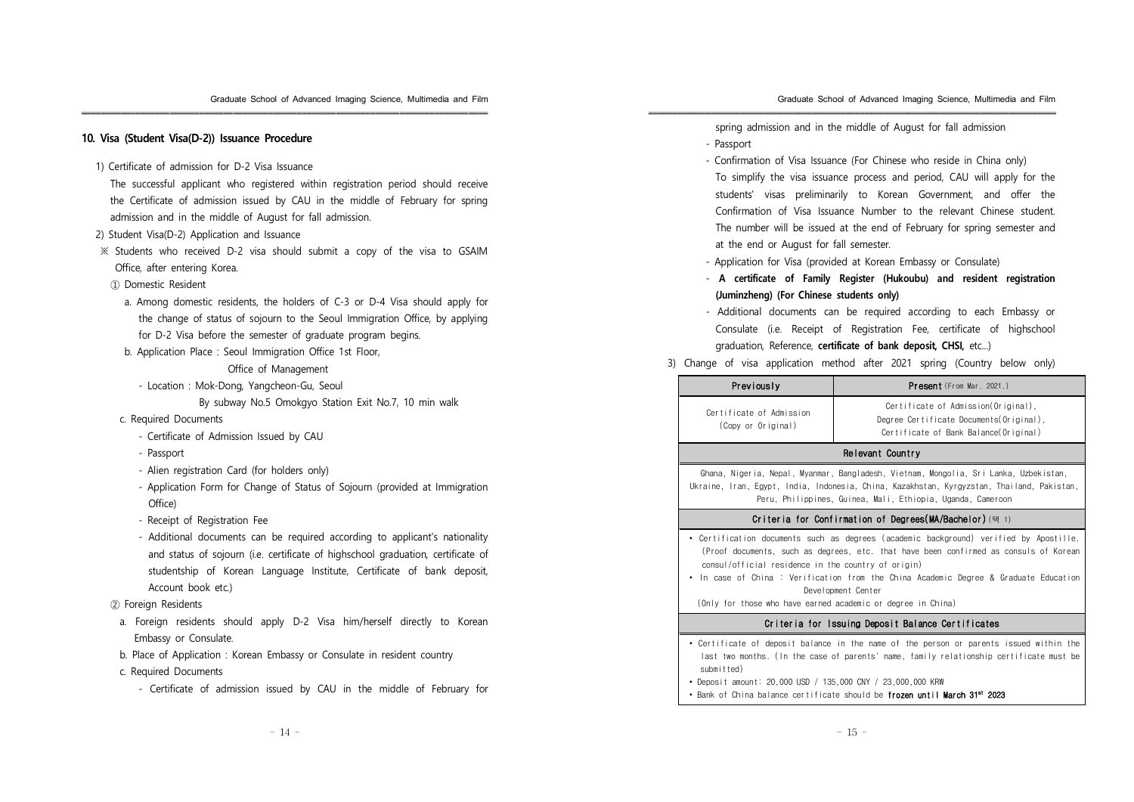### **10. Visa (Student Visa(D-2)) Issuance Procedure**

1) Certificate of admission for D-2 Visa Issuance

The successful applicant who registered within registration period should receive the Certificate of admission issued by CAU in the middle of February for spring admission and in the middle of August for fall admission.

- 2) Student Visa(D-2) Application and Issuance
- ※ Students who received D-2 visa should submit a copy of the visa to GSAIM Office, after entering Korea.
- ① Domestic Resident
	- a. Among domestic residents, the holders of C-3 or D-4 Visa should apply for the change of status of sojourn to the Seoul Immigration Office, by applying for D-2 Visa before the semester of graduate program begins.
	- b. Application Place : Seoul Immigration Office 1st Floor,

Office of Management

- Location : Mok-Dong, Yangcheon-Gu, Seoul
	- By subway No.5 Omokgyo Station Exit No.7, 10 min walk
- c. Required Documents
	- Certificate of Admission Issued by CAU
	- Passport
	- Alien registration Card (for holders only)
	- Application Form for Change of Status of Sojourn (provided at Immigration Office)
	- Receipt of Registration Fee
	- Additional documents can be required according to applicant's nationality and status of sojourn (i.e. certificate of highschool graduation, certificate of studentship of Korean Language Institute, Certificate of bank deposit, Account book etc.)
- ② Foreign Residents
- a. Foreign residents should apply D-2 Visa him/herself directly to Korean Embassy or Consulate.
- b. Place of Application : Korean Embassy or Consulate in resident country
- c. Required Documents
	- Certificate of admission issued by CAU in the middle of February for

spring admission and in the middle of August for fall admission - Passport

- Confirmation of Visa Issuance (For Chinese who reside in China only) To simplify the visa issuance process and period, CAU will apply for the students' visas preliminarily to Korean Government, and offer the Confirmation of Visa Issuance Number to the relevant Chinese student. The number will be issued at the end of February for spring semester and at the end or August for fall semester.
- Application for Visa (provided at Korean Embassy or Consulate)
- **A certificate of Family Register (Hukoubu) and resident registration (Juminzheng) (For Chinese students only)**
- Additional documents can be required according to each Embassy or Consulate (i.e. Receipt of Registration Fee, certificate of highschool graduation, Reference, **certificate of bank deposit, CHSI,** etc...)

### 3) Change of visa application method after 2021 spring (Country below only)

| Previously                                                                                                                                                                                                                                                                                                                                                                                                          | <b>Present</b> (From Mar. 2021.)                                                                                                                                                   |  |  |  |
|---------------------------------------------------------------------------------------------------------------------------------------------------------------------------------------------------------------------------------------------------------------------------------------------------------------------------------------------------------------------------------------------------------------------|------------------------------------------------------------------------------------------------------------------------------------------------------------------------------------|--|--|--|
| Certificate of Admission<br>(Copy or Original)                                                                                                                                                                                                                                                                                                                                                                      | Certificate of Admission(Original),<br>Degree Certificate Documents(Original),<br>Certificate of Bank Balance(Original)                                                            |  |  |  |
|                                                                                                                                                                                                                                                                                                                                                                                                                     | Relevant Country                                                                                                                                                                   |  |  |  |
| Ghana, Nigeria, Nepal, Myanmar, Bangladesh, Vietnam, Mongolia, Sri Lanka, Uzbekistan,<br>Ukraine, Iran, Egypt, India, Indonesia, China, Kazakhstan, Kyrgyzstan, Thailand, Pakistan,<br>Peru, Philippines, Guinea, Mali, Ethiopia, Uganda, Cameroon                                                                                                                                                                  |                                                                                                                                                                                    |  |  |  |
| Criteria for Confirmation of Degrees(MA/Bachelor) (택 1)                                                                                                                                                                                                                                                                                                                                                             |                                                                                                                                                                                    |  |  |  |
| • Certification documents such as degrees (academic background) verified by Apostille.<br>(Proof documents, such as degrees, etc. that have been confirmed as consuls of Korean<br>consul/official residence in the country of origin)<br>In case of China : Verification from the China Academic Degree & Graduate Education<br>Development Center<br>(Only for those who have earned academic or degree in China) |                                                                                                                                                                                    |  |  |  |
| Criteria for Issuing Deposit Balance Certificates                                                                                                                                                                                                                                                                                                                                                                   |                                                                                                                                                                                    |  |  |  |
| submitted)<br>• Deposit amount: 20 000 USD / 135 000 CNY / 23 000 000 KRW                                                                                                                                                                                                                                                                                                                                           | • Certificate of deposit balance in the name of the person or parents issued within the<br>last two months. (In the case of parents' name, family relationship certificate must be |  |  |  |

• Bank of China balance certificate should be frozen until March 31st 2023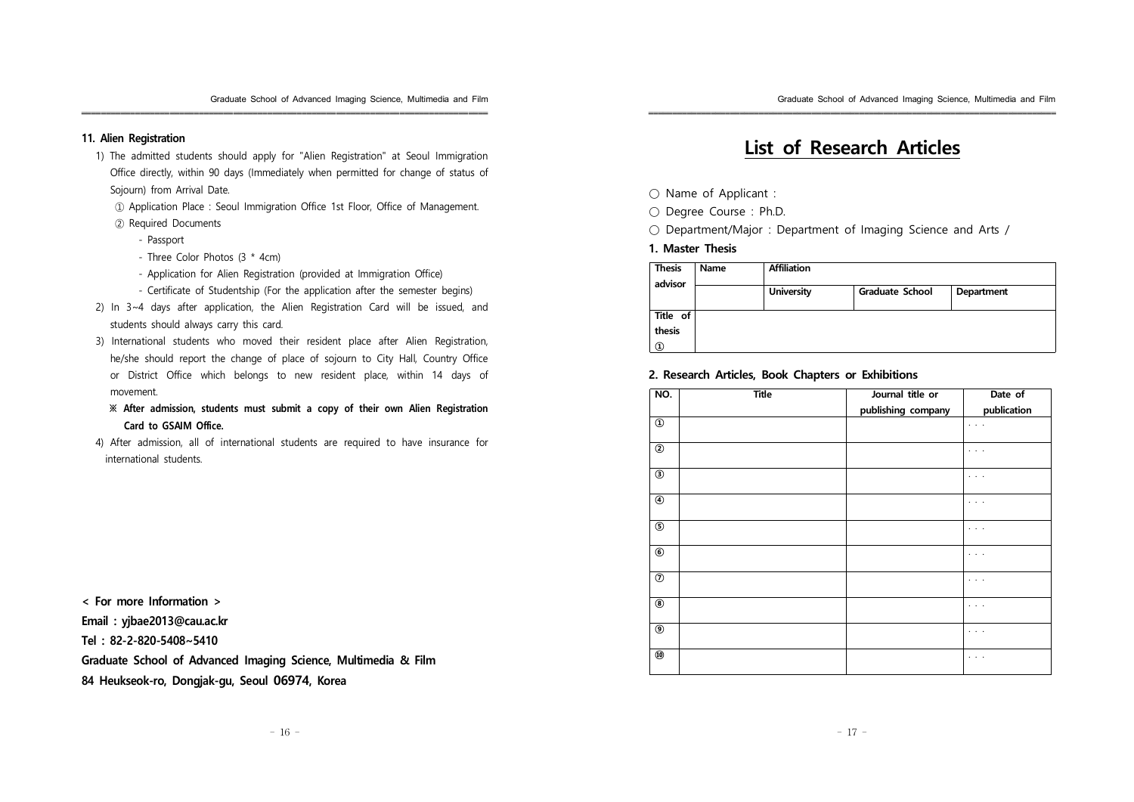### **11. Alien Registration**

1) The admitted students should apply for "Alien Registration" at Seoul Immigration Office directly, within 90 days (Immediately when permitted for change of status of Sojourn) from Arrival Date.

- ① Application Place : Seoul Immigration Office 1st Floor, Office of Management.
- ② Required Documents
	- Passport
	- Three Color Photos (3 \* 4cm)
	- Application for Alien Registration (provided at Immigration Office)
	- Certificate of Studentship (For the application after the semester begins)
- 2) In 3~4 days after application, the Alien Registration Card will be issued, and students should always carry this card.
- 3) International students who moved their resident place after Alien Registration, he/she should report the change of place of sojourn to City Hall, Country Office or District Office which belongs to new resident place, within 14 days of movement.
	- **※ After admission, students must submit a copy of their own Alien Registration Card to GSAIM Office.**
- 4) After admission, all of international students are required to have insurance for international students.

**< For more Information > Email : yjbae2013@cau.ac.kr Tel : 82-2-820-5408~5410 Graduate School of Advanced Imaging Science, Multimedia & Film 84 Heukseok-ro, Dongjak-gu, Seoul 06974, Korea**

# **List of Research Articles**

- Name of Applicant :
- Degree Course : Ph.D.
- Department/Major : Department of Imaging Science and Arts /

### **1. Master Thesis**

| <b>Thesis</b> | Name | <b>Affiliation</b> |                        |            |
|---------------|------|--------------------|------------------------|------------|
| advisor       |      | <b>University</b>  | <b>Graduate School</b> | Department |
| Title of      |      |                    |                        |            |
| thesis        |      |                    |                        |            |
| $^{\circ}$    |      |                    |                        |            |

### **2. Research Articles, Book Chapters or Exhibitions**

| NO.                            | <b>Title</b> | Journal title or   | Date of              |
|--------------------------------|--------------|--------------------|----------------------|
|                                |              | publishing company | publication          |
| $\textcircled{\scriptsize{1}}$ |              |                    | $\sim$ $\sim$ $\sim$ |
| $^{\circledR}$                 |              |                    | $\cdots$             |
| $\circledS$                    |              |                    | $\cdots$             |
| $^{\circledR}$                 |              |                    | $\cdots$             |
| $\overline{\circ}$             |              |                    | $\cdots$             |
| $^{\circ}$                     |              |                    | $\cdots$             |
| $^\circledR$                   |              |                    | $\cdots$             |
| $\overline{\circledast}$       |              |                    | $\cdots$             |
| $\overline{\circ}$             |              |                    | $\cdots$             |
| $^\circledR$                   |              |                    | $\cdots$             |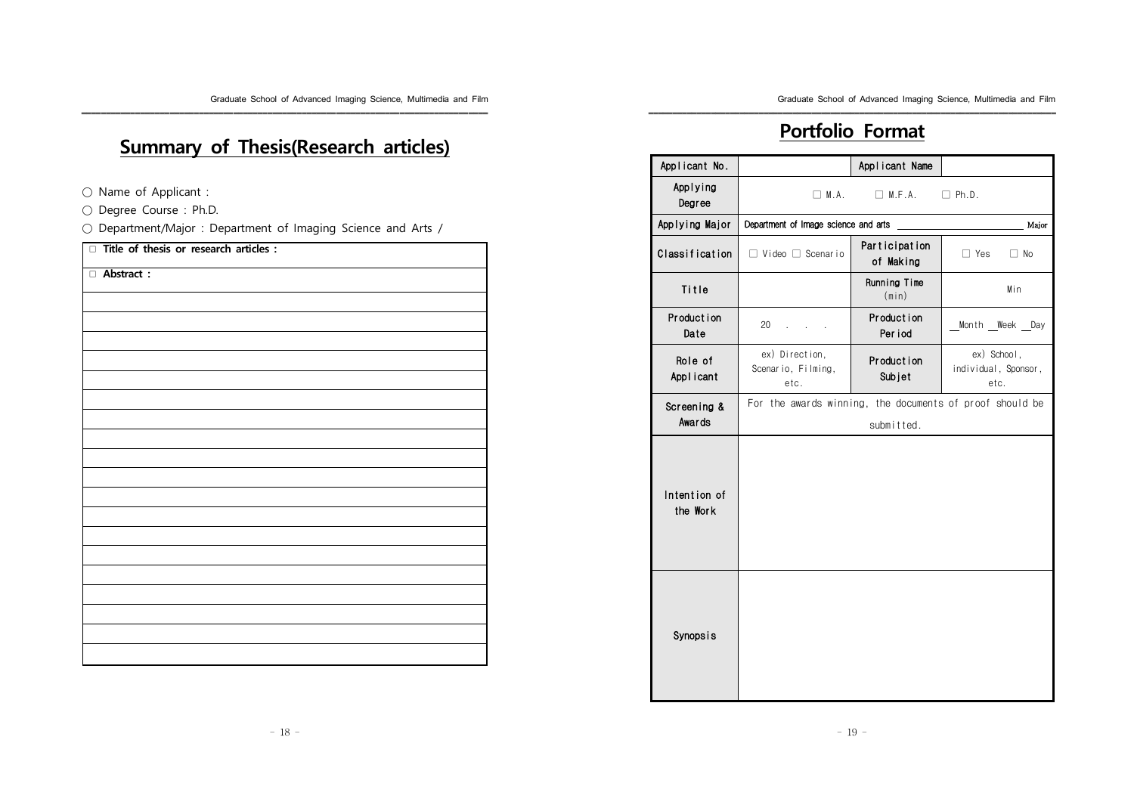# **Summary of Thesis(Research articles)**

- Name of Applicant :
- Degree Course : Ph.D.
- Department/Major : Department of Imaging Science and Arts /

| $\Box$ Title of thesis or research articles : |  |
|-----------------------------------------------|--|
| Abstract:                                     |  |
|                                               |  |
|                                               |  |
|                                               |  |
|                                               |  |
|                                               |  |
|                                               |  |
|                                               |  |
|                                               |  |
|                                               |  |
|                                               |  |
|                                               |  |
|                                               |  |
|                                               |  |
|                                               |  |
|                                               |  |
|                                               |  |
|                                               |  |
|                                               |  |
|                                               |  |

### **Portfolio Format**

| Applicant No.             |                                                          | Applicant Name               |                                             |
|---------------------------|----------------------------------------------------------|------------------------------|---------------------------------------------|
| Applying<br>Degree        | $\Box$ M.A.                                              | $\Box$ M.F.A.                | $\Box$ Ph.D.                                |
| Applying Major            | Department of Image science and arts                     |                              | Major                                       |
| Classification            | $\Box$ Video $\Box$ Scenario                             | Participation<br>of Making   | $\Box$ Yes<br>$\Box$ No                     |
| Title                     |                                                          | Running Time<br>(min)        | Min                                         |
| <b>Production</b><br>Date | 20                                                       | <b>Production</b><br>Per iod | Month _ Week _ Day                          |
| Role of<br>Applicant      | ex) Direction,<br>Scenario, Filming,<br>etc.             | <b>Production</b><br>Subjet  | ex) School,<br>individual, Sponsor,<br>etc. |
| Screening &<br>Awards     | For the awards winning, the documents of proof should be | submitted.                   |                                             |
| Intention of<br>the Work  |                                                          |                              |                                             |
| <b>Synopsis</b>           |                                                          |                              |                                             |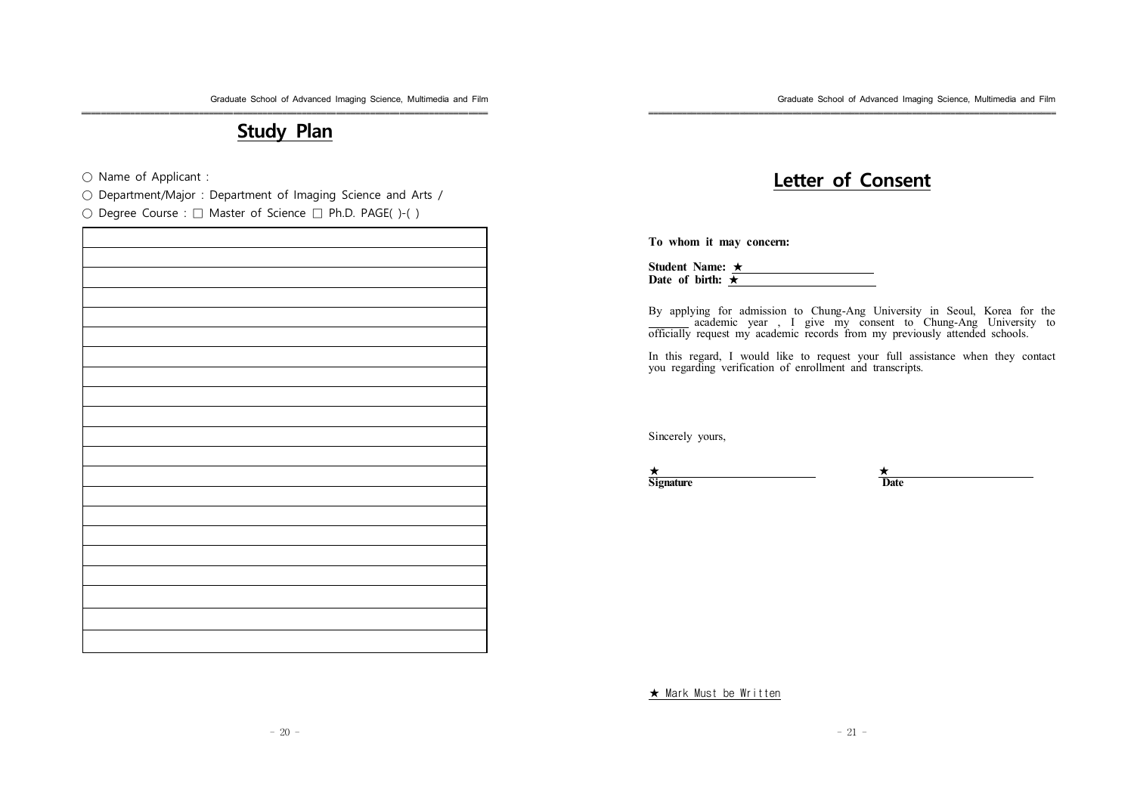### **Study Plan**

○ Name of Applicant :

○ Department/Major : Department of Imaging Science and Arts /

○ Degree Course : □ Master of Science □ Ph.D. PAGE( )-( )

## **Letter of Consent**

**To whom it may concern:**

**Student Name:** ★ **Date of birth:** ★

By applying for admission to Chung-Ang University in Seoul, Korea for the academic year , I give my consent to Chung-Ang University to officially request my academic records from my previously attended schools.

In this regard, I would like to request your full assistance when they contact you regarding verification of enrollment and transcripts.

Sincerely yours,

★ ★ **Signature Date** 

★ Mark Must be Written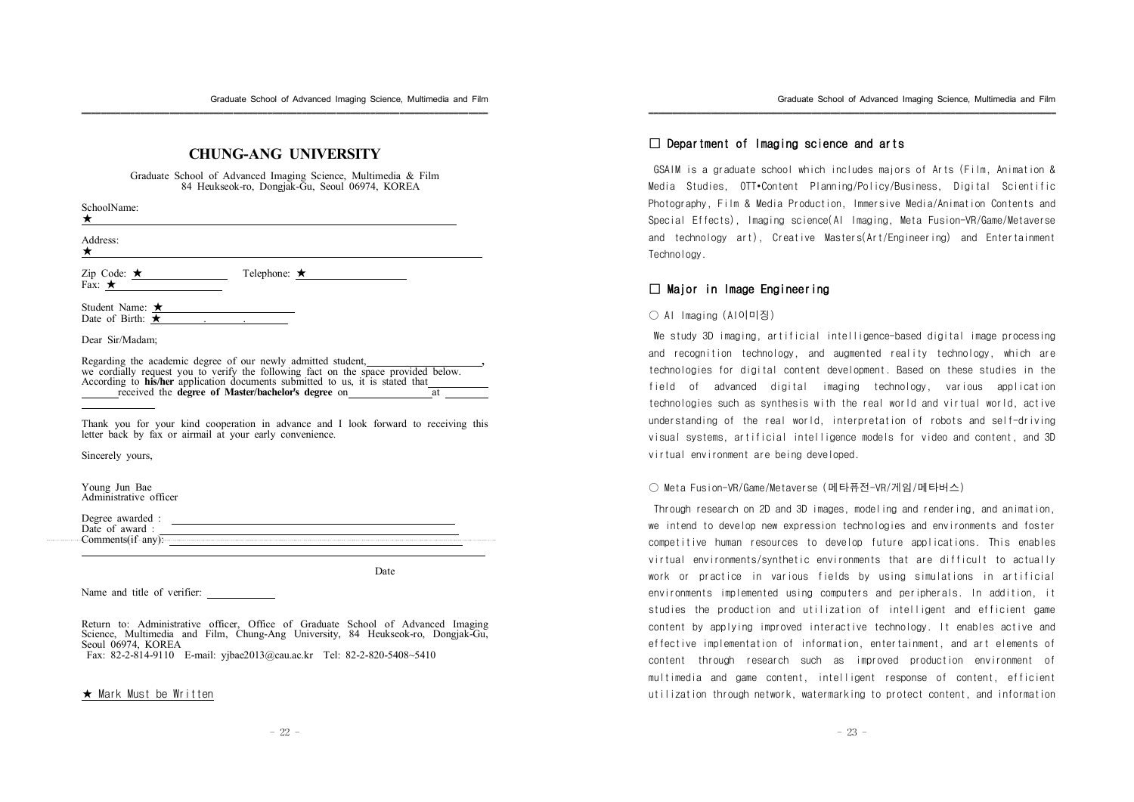### **CHUNG-ANG UNIVERSITY**

Graduate School of Advanced Imaging Science, Multimedia & Film 84 Heukseok-ro, Dongjak-Gu, Seoul 06974, KOREA

SchoolName:

★ Address:

★

Zip Code:  $\star$  Telephone: ★ Fax:  $\star$ 

Student Name: ★ Date of Birth:  $\star$ 

Dear Sir/Madam;

Regarding the academic degree of our newly admitted student, **,** we cordially request you to verify the following fact on the space provided below. According to **his/her** application documents submitted to us, it is stated that received the **degree** of **Master/bachelor's** degree on

Thank you for your kind cooperation in advance and I look forward to receiving this letter back by fax or airmail at your early convenience.

Sincerely yours,

Young Jun Bae Administrative officer

Degree awarded : Date of award : Comments(if any):

Date

Name and title of verifier:

Return to: Administrative officer, Office of Graduate School of Advanced Imaging Science, Multimedia and Film, Chung-Ang University, 84 Heukseok-ro, Dongjak-Gu, Seoul 06974, KOREA

Fax: 82-2-814-9110 E-mail: yjbae2013@cau.ac.kr Tel: 82-2-820-5408~5410

#### ★ Mark Must be Written

### $\square$  Department of Imaging science and arts

GSAIM is a graduate school which includes majors of Arts (Film, Animation & Media Studies, OTT•Content Planning/Policy/Business, Digital Scientific Photography, Film & Media Production, Immersive Media/Animation Contents and Special Effects), Imaging science(AI Imaging, Meta Fusion-VR/Game/Metaverse and technology art), Creative Masters(Art/Engineering) and Entertainment **Technology** 

### □ Major in Image Engineering

#### ○ AI Imaging (AI이미징)

We study 3D imaging, artificial intelligence-based digital image processing and recognition technology, and augmented reality technology, which are technologies for digital content development. Based on these studies in the field of advanced digital imaging technology, various application technologies such as synthesis with the real world and virtual world, active understanding of the real world, interpretation of robots and self-driving visual systems, artificial intelligence models for video and content, and 3D virtual environment are being developed.

#### ○ Meta Fusion-VR/Game/Metaverse (메타퓨전-VR/게임/메타버스)

Through research on 2D and 3D images, modeling and rendering, and animation, we intend to develop new expression technologies and environments and foster competitive human resources to develop future applications. This enables virtual environments/synthetic environments that are difficult to actually work or practice in various fields by using simulations in artificial environments implemented using computers and peripherals. In addition, it studies the production and utilization of intelligent and efficient game content by applying improved interactive technology. It enables active and effective implementation of information, entertainment, and art elements of content through research such as improved production environment of multimedia and game content, intelligent response of content, efficient utilization through network, watermarking to protect content, and information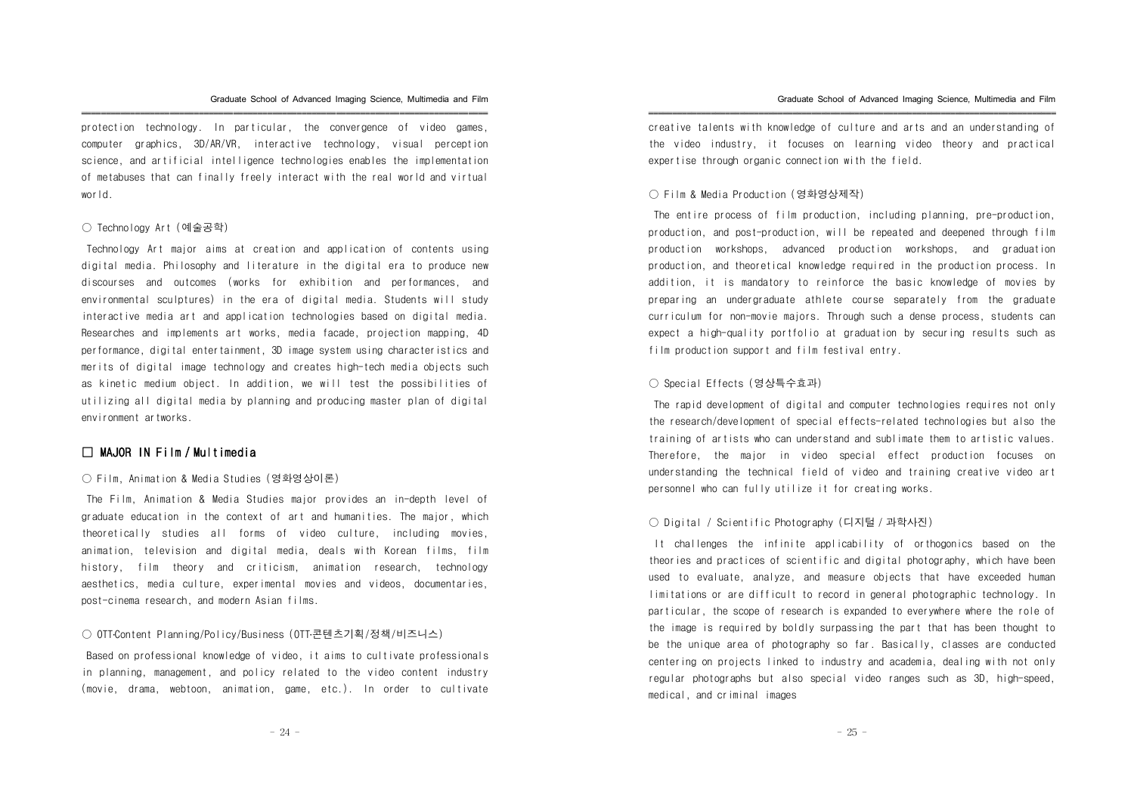protection technology. In particular, the convergence of video games, computer graphics, 3D/AR/VR, interactive technology, visual perception science, and artificial intelligence technologies enables the implementation of metabuses that can finally freely interact with the real world and virtual world.

#### ○ Technology Art (예술공학)

Technology Art major aims at creation and application of contents using digital media. Philosophy and literature in the digital era to produce new discourses and outcomes (works for exhibition and performances, and environmental sculptures) in the era of digital media. Students will study interactive media art and application technologies based on digital media. Researches and implements art works, media facade, projection mapping, 4D performance, digital entertainment, 3D image system using characteristics and merits of digital image technology and creates high-tech media objects such as kinetic medium object. In addition, we will test the possibilities of utilizing all digital media by planning and producing master plan of digital environment artworks.

### □ MAJOR IN Film / Multimedia

### ○ Film, Animation & Media Studies (영화영상이론)

The Film, Animation & Media Studies major provides an in-depth level of graduate education in the context of art and humanities. The major, which theoretically studies all forms of video culture, including movies, animation, television and digital media, deals with Korean films, film history, film theory and criticism, animation research, technology aesthetics, media culture, experimental movies and videos, documentaries, post-cinema research, and modern Asian films.

#### ○ 0TT Content Planning/Policy/Business (0TT・콘텐츠기획/정책/비즈니스)

Based on professional knowledge of video, it aims to cultivate professionals in planning, management, and policy related to the video content industry (movie, drama, webtoon, animation, game, etc.). In order to cultivate

creative talents with knowledge of culture and arts and an understanding of the video industry, it focuses on learning video theory and practical expertise through organic connection with the field.

#### ○ Film & Media Production (영화영상제작)

The entire process of film production, including planning, pre-production, production, and post-production, will be repeated and deepened through film production workshops, advanced production workshops, and graduation production, and theoretical knowledge required in the production process. In addition, it is mandatory to reinforce the basic knowledge of movies by preparing an undergraduate athlete course separately from the graduate curriculum for non-movie majors. Through such a dense process, students can expect a high-quality portfolio at graduation by securing results such as film production support and film festival entry.

### ○ Special Effects (영상특수효과)

The rapid development of digital and computer technologies requires not only the research/development of special effects-related technologies but also the training of artists who can understand and sublimate them to artistic values. Therefore, the major in video special effect production focuses on understanding the technical field of video and training creative video art personnel who can fully utilize it for creating works.

### ○ Digital / Scientific Photography (디지털 / 과학사진)

It challenges the infinite applicability of orthogonics based on the theories and practices of scientific and digital photography, which have been used to evaluate, analyze, and measure objects that have exceeded human limitations or are difficult to record in general photographic technology. In particular, the scope of research is expanded to everywhere where the role of the image is required by boldly surpassing the part that has been thought to be the unique area of photography so far. Basically, classes are conducted centering on projects linked to industry and academia, dealing with not only regular photographs but also special video ranges such as 3D, high-speed, medical, and criminal images